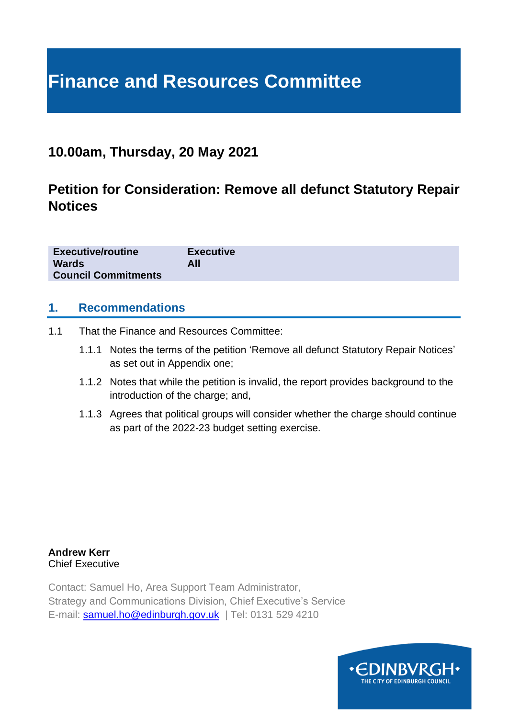# **Finance and Resources Committee**

# **10.00am, Thursday, 20 May 2021**

# **Petition for Consideration: Remove all defunct Statutory Repair Notices**

| <b>Executive/routine</b><br><b>Wards</b><br><b>Council Commitments</b> | <b>Executive</b><br>All |
|------------------------------------------------------------------------|-------------------------|
|                                                                        |                         |

### **1. Recommendations**

- 1.1 That the Finance and Resources Committee:
	- 1.1.1 Notes the terms of the petition 'Remove all defunct Statutory Repair Notices' as set out in Appendix one;
	- 1.1.2 Notes that while the petition is invalid, the report provides background to the introduction of the charge; and,
	- 1.1.3 Agrees that political groups will consider whether the charge should continue as part of the 2022-23 budget setting exercise.

**Andrew Kerr** Chief Executive

Contact: Samuel Ho, Area Support Team Administrator, Strategy and Communications Division, Chief Executive's Service E-mail: **[samuel.ho@edinburgh.gov.uk](mailto:samuel.ho@edinburgh.gov.uk)** | Tel: 0131 529 4210

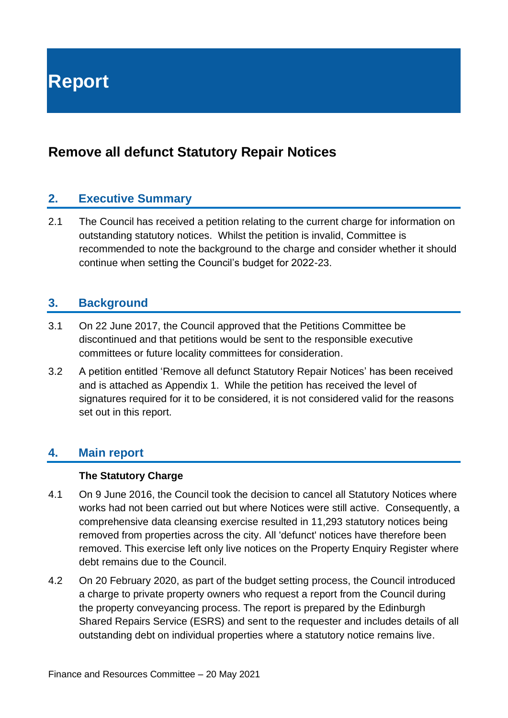**Report**

# **Remove all defunct Statutory Repair Notices**

## **2. Executive Summary**

2.1 The Council has received a petition relating to the current charge for information on outstanding statutory notices. Whilst the petition is invalid, Committee is recommended to note the background to the charge and consider whether it should continue when setting the Council's budget for 2022-23.

# **3. Background**

- 3.1 On 22 June 2017, the Council approved that the Petitions Committee be discontinued and that petitions would be sent to the responsible executive committees or future locality committees for consideration.
- 3.2 A petition entitled 'Remove all defunct Statutory Repair Notices' has been received and is attached as Appendix 1. While the petition has received the level of signatures required for it to be considered, it is not considered valid for the reasons set out in this report.

# **4. Main report**

#### **The Statutory Charge**

- 4.1 On 9 June 2016, the Council took the decision to cancel all Statutory Notices where works had not been carried out but where Notices were still active. Consequently, a comprehensive data cleansing exercise resulted in 11,293 statutory notices being removed from properties across the city. All 'defunct' notices have therefore been removed. This exercise left only live notices on the Property Enquiry Register where debt remains due to the Council.
- 4.2 On 20 February 2020, as part of the budget setting process, the Council introduced a charge to private property owners who request a report from the Council during the property conveyancing process. The report is prepared by the Edinburgh Shared Repairs Service (ESRS) and sent to the requester and includes details of all outstanding debt on individual properties where a statutory notice remains live.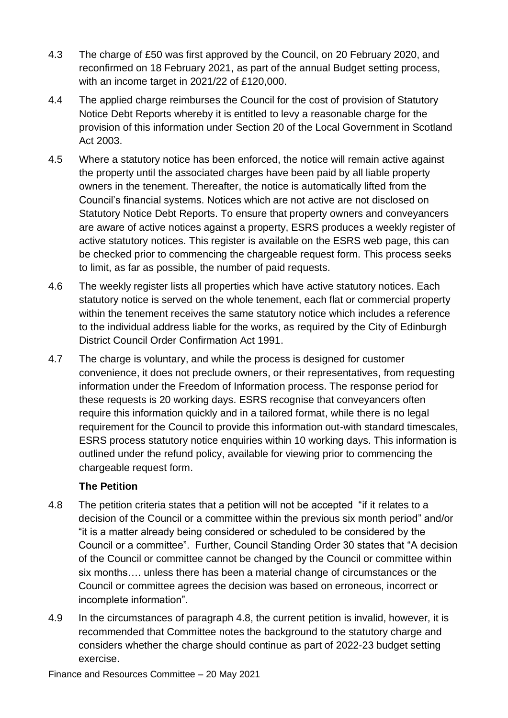- 4.3 The charge of £50 was first approved by the Council, on 20 February 2020, and reconfirmed on 18 February 2021, as part of the annual Budget setting process, with an income target in 2021/22 of £120,000.
- 4.4 The applied charge reimburses the Council for the cost of provision of Statutory Notice Debt Reports whereby it is entitled to levy a reasonable charge for the provision of this information under Section 20 of the Local Government in Scotland Act 2003.
- 4.5 Where a statutory notice has been enforced, the notice will remain active against the property until the associated charges have been paid by all liable property owners in the tenement. Thereafter, the notice is automatically lifted from the Council's financial systems. Notices which are not active are not disclosed on Statutory Notice Debt Reports. To ensure that property owners and conveyancers are aware of active notices against a property, ESRS produces a weekly register of active statutory notices. This register is available on the ESRS web page, this can be checked prior to commencing the chargeable request form. This process seeks to limit, as far as possible, the number of paid requests.
- 4.6 The weekly register lists all properties which have active statutory notices. Each statutory notice is served on the whole tenement, each flat or commercial property within the tenement receives the same statutory notice which includes a reference to the individual address liable for the works, as required by the City of Edinburgh District Council Order Confirmation Act 1991.
- 4.7 The charge is voluntary, and while the process is designed for customer convenience, it does not preclude owners, or their representatives, from requesting information under the Freedom of Information process. The response period for these requests is 20 working days. ESRS recognise that conveyancers often require this information quickly and in a tailored format, while there is no legal requirement for the Council to provide this information out-with standard timescales, ESRS process statutory notice enquiries within 10 working days. This information is outlined under the refund policy, available for viewing prior to commencing the chargeable request form.

#### **The Petition**

- 4.8 The petition criteria states that a petition will not be accepted "if it relates to a decision of the Council or a committee within the previous six month period" and/or "it is a matter already being considered or scheduled to be considered by the Council or a committee". Further, Council Standing Order 30 states that "A decision of the Council or committee cannot be changed by the Council or committee within six months…. unless there has been a material change of circumstances or the Council or committee agrees the decision was based on erroneous, incorrect or incomplete information".
- 4.9 In the circumstances of paragraph 4.8, the current petition is invalid, however, it is recommended that Committee notes the background to the statutory charge and considers whether the charge should continue as part of 2022-23 budget setting exercise.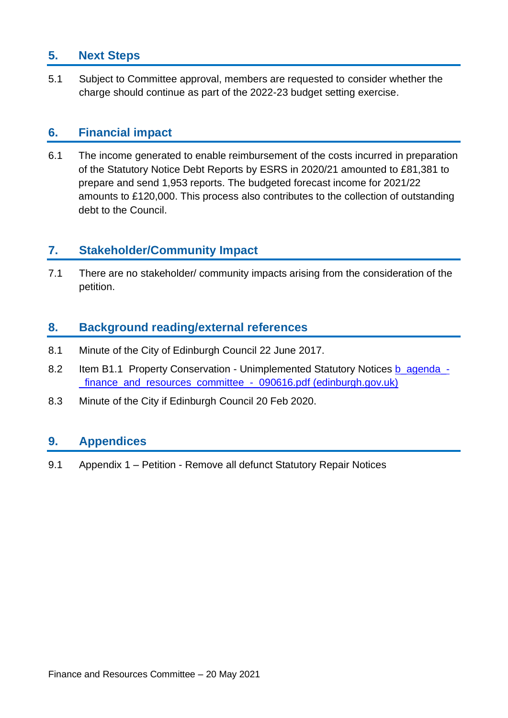# **5. Next Steps**

5.1 Subject to Committee approval, members are requested to consider whether the charge should continue as part of the 2022-23 budget setting exercise.

## **6. Financial impact**

6.1 The income generated to enable reimbursement of the costs incurred in preparation of the Statutory Notice Debt Reports by ESRS in 2020/21 amounted to £81,381 to prepare and send 1,953 reports. The budgeted forecast income for 2021/22 amounts to £120,000. This process also contributes to the collection of outstanding debt to the Council.

# **7. Stakeholder/Community Impact**

7.1 There are no stakeholder/ community impacts arising from the consideration of the petition.

## **8. Background reading/external references**

- 8.1 Minute of the City of Edinburgh Council 22 June 2017.
- 8.2 Item B1.1 Property Conservation Unimplemented Statutory Notices b agenda -[\\_finance\\_and\\_resources\\_committee\\_-\\_090616.pdf \(edinburgh.gov.uk\)](https://democracy.edinburgh.gov.uk/Data/Finance%20and%20Resources%20Committee/20160609/Agenda/b_agenda_-_finance_and_resources_committee_-_090616.pdf)
- 8.3 Minute of the City if Edinburgh Council 20 Feb 2020.

## **9. Appendices**

9.1 Appendix 1 – Petition - Remove all defunct Statutory Repair Notices